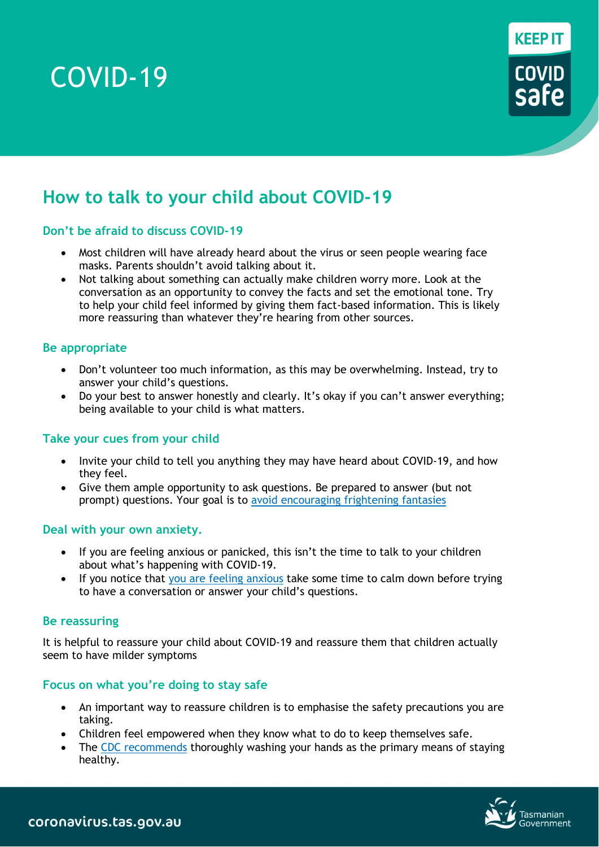# COVID-19



# **How to talk to your child about COVID-19**

# **Don't be afraid to discuss COVID-19**

- Most children will have already heard about the virus or seen people wearing face masks. Parents shouldn't avoid talking about it.
- Not talking about something can actually make children worry more. Look at the conversation as an opportunity to convey the facts and set the emotional tone. Try to help your child feel informed by giving them fact-based information. This is likely more reassuring than whatever they're hearing from other sources.

#### **Be appropriate**

- Don't volunteer too much information, as this may be overwhelming. Instead, try to answer your child's questions.
- Do your best to answer honestly and clearly. It's okay if you can't answer everything; being available to your child is what matters.

#### **Take your cues from your child**

- Invite your child to tell you anything they may have heard about COVID-19, and how they feel.
- Give them ample opportunity to ask questions. Be prepared to answer (but not prompt) questions. Your goal is to [avoid encouraging frightening fantasies](https://childmind.org/article/what-to-do-and-not-do-when-children-are-anxious/)

#### **Deal with your own anxiety.**

- If you are feeling anxious or panicked, this isn't the time to talk to your children about what's happening with COVID-19.
- If you notice that you [are feeling anxious](https://childmind.org/article/how-to-avoid-passing-anxiety-on-to-your-kids/) take some time to calm down before trying to have a conversation or answer your child's questions.

#### **Be reassuring**

It is helpful to reassure your child about COVID-19 and reassure them that children actually seem to have milder symptoms

#### **Focus on what you're doing to stay safe**

- An important way to reassure children is to emphasise the safety precautions you are taking.
- Children feel empowered when they know what to do to keep themselves safe.
- The [CDC recommends](https://www.cdc.gov/coronavirus/2019-ncov/about/prevention-treatment.html) thoroughly washing your hands as the primary means of staying healthy.